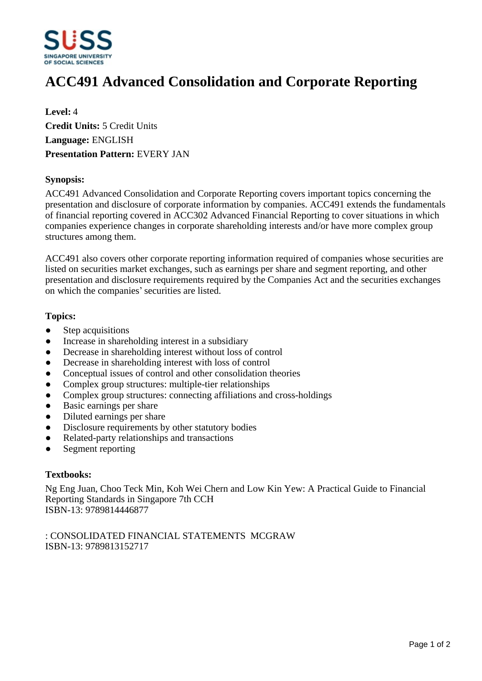

# **ACC491 Advanced Consolidation and Corporate Reporting**

**Level:** 4 **Credit Units:** 5 Credit Units **Language:** ENGLISH **Presentation Pattern:** EVERY JAN

### **Synopsis:**

ACC491 Advanced Consolidation and Corporate Reporting covers important topics concerning the presentation and disclosure of corporate information by companies. ACC491 extends the fundamentals of financial reporting covered in ACC302 Advanced Financial Reporting to cover situations in which companies experience changes in corporate shareholding interests and/or have more complex group structures among them.

ACC491 also covers other corporate reporting information required of companies whose securities are listed on securities market exchanges, such as earnings per share and segment reporting, and other presentation and disclosure requirements required by the Companies Act and the securities exchanges on which the companies' securities are listed.

#### **Topics:**

- Step acquisitions
- Increase in shareholding interest in a subsidiary
- Decrease in shareholding interest without loss of control
- Decrease in shareholding interest with loss of control
- Conceptual issues of control and other consolidation theories
- Complex group structures: multiple-tier relationships
- Complex group structures: connecting affiliations and cross-holdings
- Basic earnings per share
- Diluted earnings per share
- Disclosure requirements by other statutory bodies
- Related-party relationships and transactions
- Segment reporting

# **Textbooks:**

Ng Eng Juan, Choo Teck Min, Koh Wei Chern and Low Kin Yew: A Practical Guide to Financial Reporting Standards in Singapore 7th CCH ISBN-13: 9789814446877

: CONSOLIDATED FINANCIAL STATEMENTS MCGRAW ISBN-13: 9789813152717